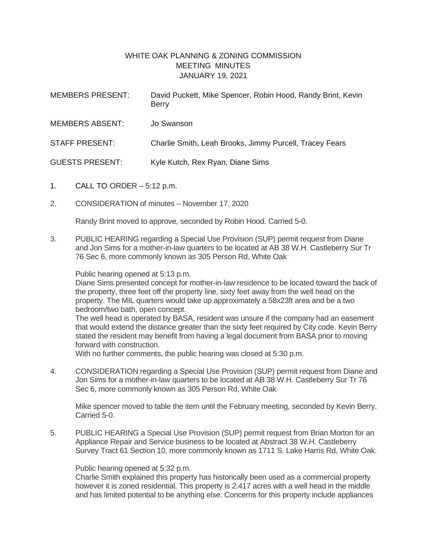## WHITE OAK PLANNING & ZONING COMMISSION MEETING MINUTES JANUARY 19, 2021

| <b>MEMBERS PRESENT:</b> | David Puckett, Mike Spencer, Robin Hood, Randy Brint, Kevin<br><b>Berry</b> |
|-------------------------|-----------------------------------------------------------------------------|
| <b>MEMBERS ABSENT:</b>  | Jo Swanson                                                                  |
| <b>STAFF PRESENT:</b>   | Charlie Smith, Leah Brooks, Jimmy Purcell, Tracey Fears                     |
| <b>GUESTS PRESENT:</b>  | Kyle Kutch, Rex Ryan, Diane Sims                                            |

- 1. CALL TO ORDER 5:12 p.m.
- 2. CONSIDERATION of minutes November 17, 2020

Randy Brint moved to approve, seconded by Robin Hood. Carried 5-0.

3. PUBLIC HEARING regarding a Special Use Provision (SUP) permit request from Diane and Jon Sims for a mother-in-law quarters to be located at AB 38 W.H. Castleberry Sur Tr 76 Sec 6, more commonly known as 305 Person Rd, White Oak

Public hearing opened at 5:13 p.m.

Diane Sims presented concept for mother-in-law residence to be located toward the back of the property, three feet off the property line, sixty feet away from the well head on the property. The MIL quarters would take up approximately a 58x23ft area and be a two bedroom/two bath, open concept.

The well head is operated by BASA, resident was unsure if the company had an easement that would extend the distance greater than the sixty feet required by City code. Kevin Berry stated the resident may benefit from having a legal document from BASA prior to moving forward with construction.

With no further comments, the public hearing was closed at 5:30 p.m.

4. CONSIDERATION regarding a Special Use Provision (SUP) permit request from Diane and Jon Sims for a mother-in-law quarters to be located at AB 38 W.H. Castleberry Sur Tr 76 Sec 6, more commonly known as 305 Person Rd, White Oak

Mike spencer moved to table the item until the February meeting, seconded by Kevin Berry. Carried 5-0.

5. PUBLIC HEARING a Special Use Provision (SUP) permit request from Brian Morton for an Appliance Repair and Service business to be located at Abstract 38 W.H. Castleberry Survey Tract 61 Section 10, more commonly known as 1711 S. Lake Harris Rd, White Oak.

Public hearing opened at 5:32 p.m.

Charlie Smith explained this property has historically been used as a commercial property however it is zoned residential. This property is 2.417 acres with a well head in the middle and has limited potential to be anything else. Concerns for this property include appliances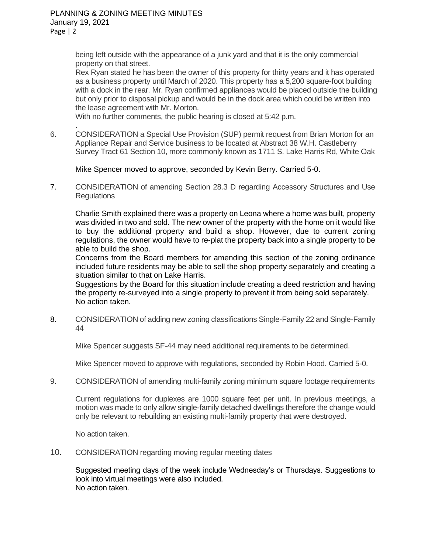PLANNING & ZONING MEETING MINUTES January 19, 2021 Page | 2

.

being left outside with the appearance of a junk yard and that it is the only commercial property on that street.

Rex Ryan stated he has been the owner of this property for thirty years and it has operated as a business property until March of 2020. This property has a 5,200 square-foot building with a dock in the rear. Mr. Ryan confirmed appliances would be placed outside the building but only prior to disposal pickup and would be in the dock area which could be written into the lease agreement with Mr. Morton.

With no further comments, the public hearing is closed at 5:42 p.m.

6. CONSIDERATION a Special Use Provision (SUP) permit request from Brian Morton for an Appliance Repair and Service business to be located at Abstract 38 W.H. Castleberry Survey Tract 61 Section 10, more commonly known as 1711 S. Lake Harris Rd, White Oak

Mike Spencer moved to approve, seconded by Kevin Berry. Carried 5-0.

7. CONSIDERATION of amending Section 28.3 D regarding Accessory Structures and Use **Regulations** 

Charlie Smith explained there was a property on Leona where a home was built, property was divided in two and sold. The new owner of the property with the home on it would like to buy the additional property and build a shop. However, due to current zoning regulations, the owner would have to re-plat the property back into a single property to be able to build the shop.

Concerns from the Board members for amending this section of the zoning ordinance included future residents may be able to sell the shop property separately and creating a situation similar to that on Lake Harris.

Suggestions by the Board for this situation include creating a deed restriction and having the property re-surveyed into a single property to prevent it from being sold separately. No action taken.

8. CONSIDERATION of adding new zoning classifications Single-Family 22 and Single-Family 44

Mike Spencer suggests SF-44 may need additional requirements to be determined.

Mike Spencer moved to approve with regulations, seconded by Robin Hood. Carried 5-0.

9. CONSIDERATION of amending multi-family zoning minimum square footage requirements

Current regulations for duplexes are 1000 square feet per unit. In previous meetings, a motion was made to only allow single-family detached dwellings therefore the change would only be relevant to rebuilding an existing multi-family property that were destroyed.

No action taken.

10. CONSIDERATION regarding moving regular meeting dates

Suggested meeting days of the week include Wednesday's or Thursdays. Suggestions to look into virtual meetings were also included. No action taken.